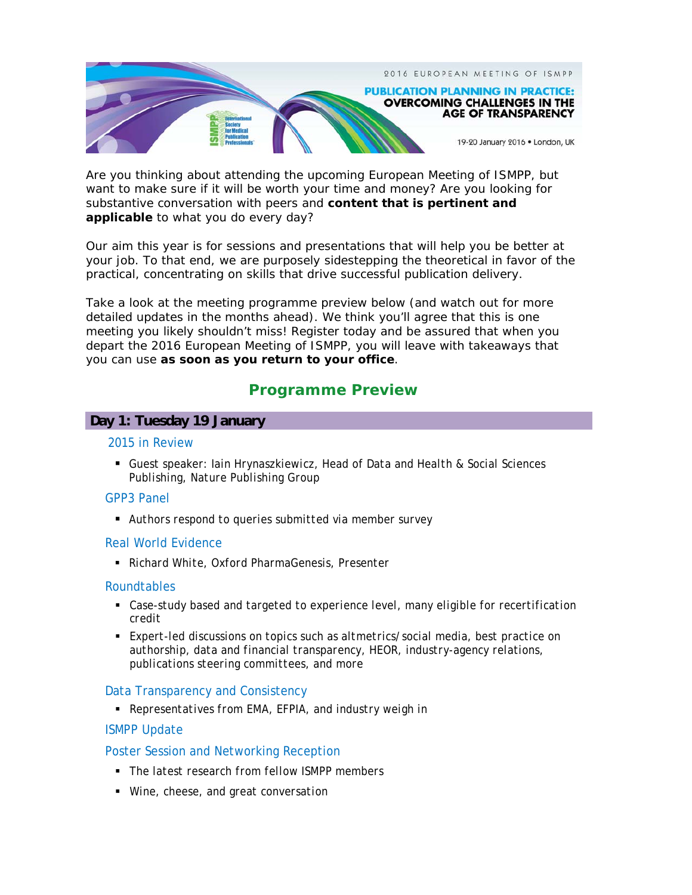

Are you thinking about attending the upcoming European Meeting of ISMPP, but want to make sure if it will be worth your time and money? Are you looking for substantive conversation with peers and **content that is pertinent and applicable** to what you do every day?

Our aim this year is for sessions and presentations that will help you be better at your job. To that end, we are purposely sidestepping the theoretical in favor of the practical, concentrating on skills that drive successful publication delivery.

Take a look at the meeting programme preview below (and watch out for more detailed updates in the months ahead). We think you'll agree that this is one meeting you likely shouldn't miss! Register today and be assured that when you depart the 2016 European Meeting of ISMPP, you will leave with takeaways that you can use **as soon as you return to your office**.

# **Programme Preview**

## **Day 1: Tuesday 19 January**

#### 2015 in Review

 *Guest speaker: Iain Hrynaszkiewicz, Head of Data and Health & Social Sciences Publishing, Nature Publishing Group*

## GPP3 Panel

*Authors respond to queries submitted via member survey* 

## Real World Evidence

*Richard White, Oxford PharmaGenesis, Presenter* 

## Roundtables

- **Case-study based and targeted to experience level, many eligible for recertification** *credit*
- *Expert-led discussions on topics such as altmetrics/social media, best practice on authorship, data and financial transparency, HEOR, industry-agency relations, publications steering committees, and more*

## Data Transparency and Consistency

*Representatives from EMA, EFPIA, and industry weigh in* 

## ISMPP Update

## Poster Session and Networking Reception

- *The latest research from fellow ISMPP members*
- *Wine, cheese, and great conversation*